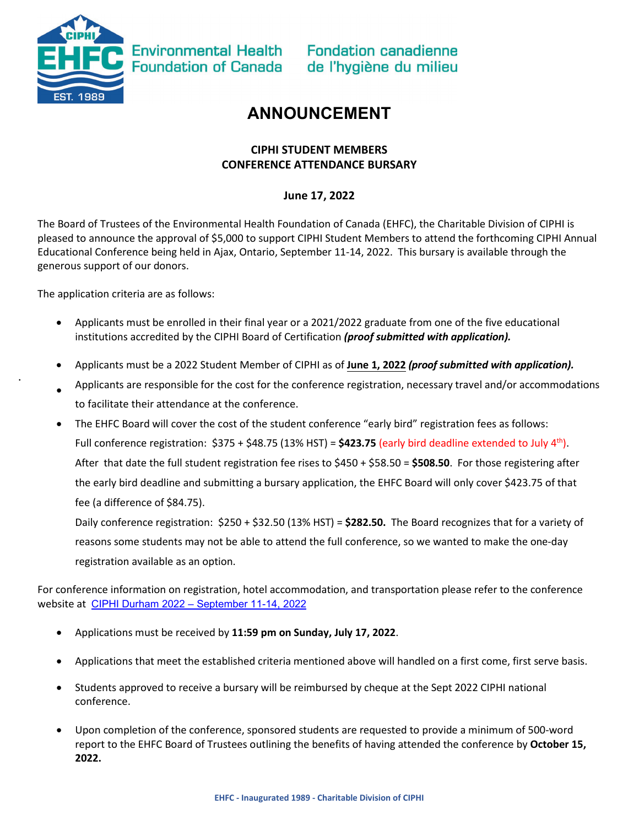

•

**Environmental Health Foundation of Canada** 

**Fondation canadienne** de l'hygiène du milieu

## **ANNOUNCEMENT**

#### **CIPHI STUDENT MEMBERS CONFERENCE ATTENDANCE BURSARY**

### **June 17, 2022**

The Board of Trustees of the Environmental Health Foundation of Canada (EHFC), the Charitable Division of CIPHI is pleased to announce the approval of \$5,000 to support CIPHI Student Members to attend the forthcoming CIPHI Annual Educational Conference being held in Ajax, Ontario, September 11-14, 2022. This bursary is available through the generous support of our donors.

The application criteria are as follows:

- Applicants must be enrolled in their final year or a 2021/2022 graduate from one of the five educational institutions accredited by the CIPHI Board of Certification *(proof submitted with application).*
- Applicants must be a 2022 Student Member of CIPHI as of **June 1, 2022** *(proof submitted with application).*
- Applicants are responsible for the cost for the conference registration, necessary travel and/or accommodations to facilitate their attendance at the conference.
- The EHFC Board will cover the cost of the student conference "early bird" registration fees as follows: Full conference registration:  $$375 + $48.75 (13% HST) = $423.75$  (early bird deadline extended to July 4<sup>th</sup>). After that date the full student registration fee rises to \$450 + \$58.50 = **\$508.50**. For those registering after the early bird deadline and submitting a bursary application, the EHFC Board will only cover \$423.75 of that fee (a difference of \$84.75).

Daily conference registration: \$250 + \$32.50 (13% HST) = **\$282.50.** The Board recognizes that for a variety of reasons some students may not be able to attend the full conference, so we wanted to make the one-day registration available as an option.

For conference information on registration, hotel accommodation, and transportation please refer to the conference website at [CIPHI Durham 2022 – September 11-14, 2022](https://ciphidurham2022.ca/)

- Applications must be received by **11:59 pm on Sunday, July 17, 2022**.
- Applications that meet the established criteria mentioned above will handled on a first come, first serve basis.
- Students approved to receive a bursary will be reimbursed by cheque at the Sept 2022 CIPHI national conference.
- Upon completion of the conference, sponsored students are requested to provide a minimum of 500-word report to the EHFC Board of Trustees outlining the benefits of having attended the conference by **October 15, 2022.**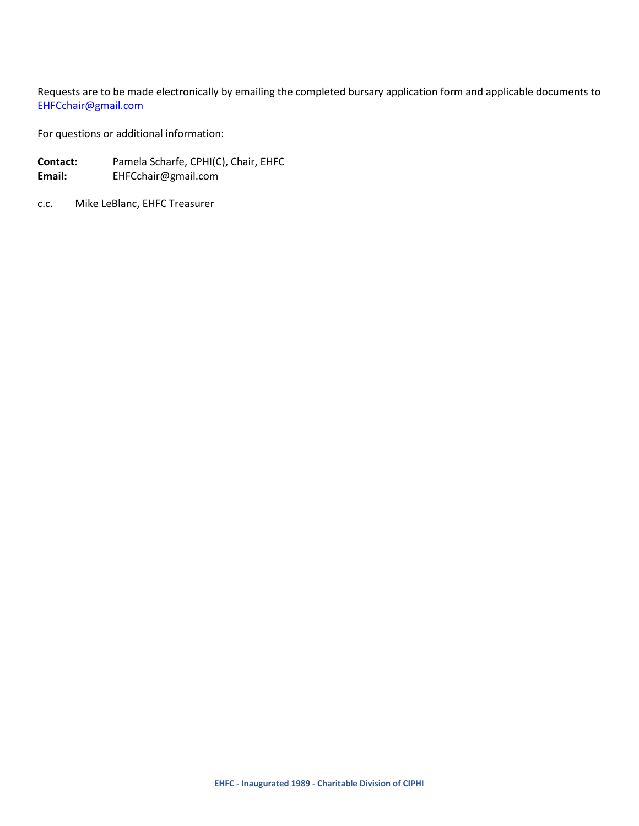Requests are to be made electronically by emailing the completed bursary application form and applicable documents to [EHFCchair@gmail.com](mailto:EHFCchair@gmail.com)

For questions or additional information:

- **Contact:** Pamela Scharfe, CPHI(C), Chair, EHFC **Email:** EHFCchair@gmail.com
- c.c. Mike LeBlanc, EHFC Treasurer